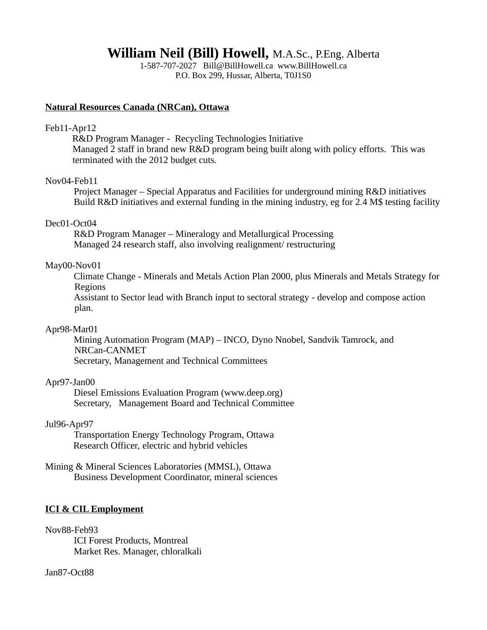**William Neil (Bill) Howell,** M.A.Sc., P.Eng. Alberta

1-587-707-2027 Bill@BillHowell.ca www.BillHowell.ca P.O. Box 299, Hussar, Alberta, T0J1S0

#### **Natural Resources Canada (NRCan), Ottawa**

#### Feb11-Apr12

R&D Program Manager - Recycling Technologies Initiative Managed 2 staff in brand new R&D program being built along with policy efforts. This was terminated with the 2012 budget cuts.

#### Nov04-Feb11

Project Manager – Special Apparatus and Facilities for underground mining R&D initiatives Build R&D initiatives and external funding in the mining industry, eg for 2.4 M\$ testing facility

## Dec01-Oct04

R&D Program Manager – Mineralogy and Metallurgical Processing Managed 24 research staff, also involving realignment/ restructuring

#### May00-Nov01

Climate Change - Minerals and Metals Action Plan 2000, plus Minerals and Metals Strategy for Regions

Assistant to Sector lead with Branch input to sectoral strategy - develop and compose action plan.

#### Apr98-Mar01

Mining Automation Program (MAP) – INCO, Dyno Nnobel, Sandvik Tamrock, and NRCan-CANMET Secretary, Management and Technical Committees

#### Apr97-Jan00

Diesel Emissions Evaluation Program (www.deep.org) Secretary, Management Board and Technical Committee

## Jul96-Apr97

Transportation Energy Technology Program, Ottawa Research Officer, electric and hybrid vehicles

Mining & Mineral Sciences Laboratories (MMSL), Ottawa Business Development Coordinator, mineral sciences

#### **ICI & CIL Employment**

Nov88-Feb93 ICI Forest Products, Montreal Market Res. Manager, chloralkali

Jan87-Oct88